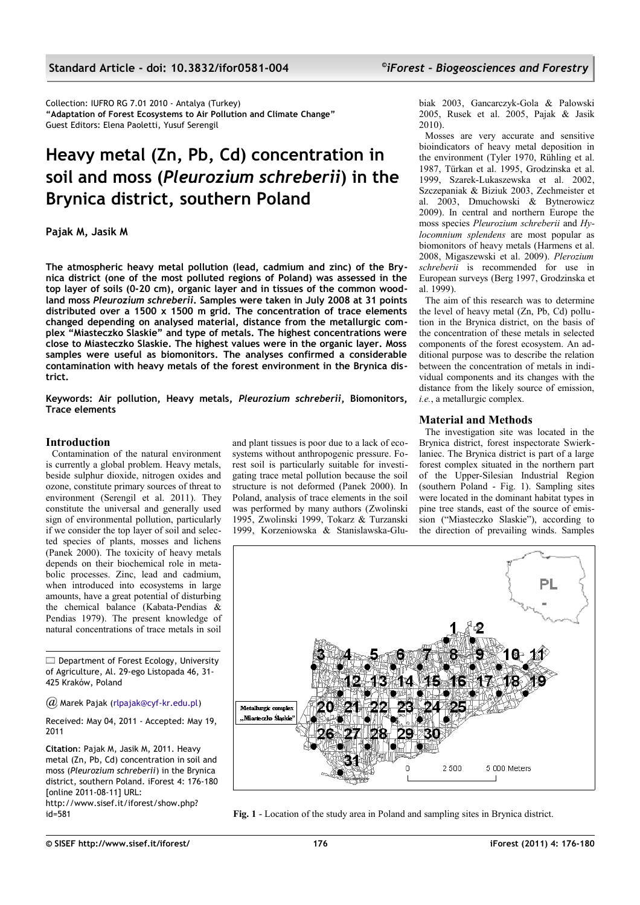Collection: IUFRO RG 7.01 2010 - Antalya (Turkey) **"Adaptation of Forest Ecosystems to Air Pollution and Climate Change"** Guest Editors: Elena Paoletti, Yusuf Serengil

## **Heavy metal (Zn, Pb, Cd) concentration in soil and moss (***Pleurozium schreberii***) in the Brynica district, southern Poland**

**Pajak M, Jasik M**

**The atmospheric heavy metal pollution (lead, cadmium and zinc) of the Brynica district (one of the most polluted regions of Poland) was assessed in the top layer of soils (0-20 cm), organic layer and in tissues of the common woodland moss** *Pleurozium schreberii***. Samples were taken in July 2008 at 31 points distributed over a 1500 x 1500 m grid. The concentration of trace elements changed depending on analysed material, distance from the metallurgic complex "Miasteczko Slaskie" and type of metals. The highest concentrations were close to Miasteczko Slaskie. The highest values were in the organic layer. Moss samples were useful as biomonitors. The analyses confirmed a considerable contamination with heavy metals of the forest environment in the Brynica district.**

**Keywords: Air pollution, Heavy metals,** *Pleurozium schreberii***, Biomonitors, Trace elements**

## **Introduction**

Contamination of the natural environment is currently a global problem. Heavy metals, beside sulphur dioxide, nitrogen oxides and ozone, constitute primary sources of threat to environment (Serengil et al. 2011). They constitute the universal and generally used sign of environmental pollution, particularly if we consider the top layer of soil and selected species of plants, mosses and lichens (Panek 2000). The toxicity of heavy metals depends on their biochemical role in metabolic processes. Zinc, lead and cadmium, when introduced into ecosystems in large amounts, have a great potential of disturbing the chemical balance (Kabata-Pendias & Pendias 1979). The present knowledge of natural concentrations of trace metals in soil

 $\Box$  Department of Forest Ecology, University of Agriculture, Al. 29-ego Listopada 46, 31- 425 Kraków, Poland

*@* Marek Pajak [\(rlpajak@cyf-kr.edu.pl\)](mailto:)

Received: May 04, 2011 - Accepted: May 19, 2011

**Citation**: Pajak M, Jasik M, 2011. Heavy metal (Zn, Pb, Cd) concentration in soil and moss (*Pleurozium schreberii*) in the Brynica district, southern Poland. iForest 4: 176-180 [online 2011-08-11] URL:

<span id="page-0-0"></span>http://www.sisef.it/iforest/show.php?

and plant tissues is poor due to a lack of ecosystems without anthropogenic pressure. Forest soil is particularly suitable for investigating trace metal pollution because the soil structure is not deformed (Panek 2000). In Poland, analysis of trace elements in the soil was performed by many authors (Zwolinski 1995, Zwolinski 1999, Tokarz & Turzanski 1999, Korzeniowska & Stanislawska-Glubiak 2003, Gancarczyk-Gola & Palowski 2005, Rusek et al. 2005, Pajak & Jasik 2010).

Mosses are very accurate and sensitive bioindicators of heavy metal deposition in the environment (Tyler 1970, Rühling et al. 1987, Türkan et al. 1995, Grodzinska et al. 1999, Szarek-Lukaszewska et al. 2002, Szczepaniak & Biziuk 2003, Zechmeister et al. 2003, Dmuchowski & Bytnerowicz 2009). In central and northern Europe the moss species *Pleurozium schreberii* and *Hylocomnium splendens* are most popular as biomonitors of heavy metals (Harmens et al. 2008, Migaszewski et al. 2009). *Plerozium schreberii* is recommended for use in European surveys (Berg 1997, Grodzinska et al. 1999).

The aim of this research was to determine the level of heavy metal (Zn, Pb, Cd) pollution in the Brynica district, on the basis of the concentration of these metals in selected components of the forest ecosystem. An additional purpose was to describe the relation between the concentration of metals in individual components and its changes with the distance from the likely source of emission, *i.e.*, a metallurgic complex.

## **Material and Methods**

The investigation site was located in the Brynica district, forest inspectorate Swierklaniec. The Brynica district is part of a large forest complex situated in the northern part of the Upper-Silesian Industrial Region (southern Poland - [Fig. 1\)](#page-0-0). Sampling sites were located in the dominant habitat types in pine tree stands, east of the source of emission ("Miasteczko Slaskie"), according to the direction of prevailing winds. Samples



id=581 **Fig. 1** - Location of the study area in Poland and sampling sites in Brynica district.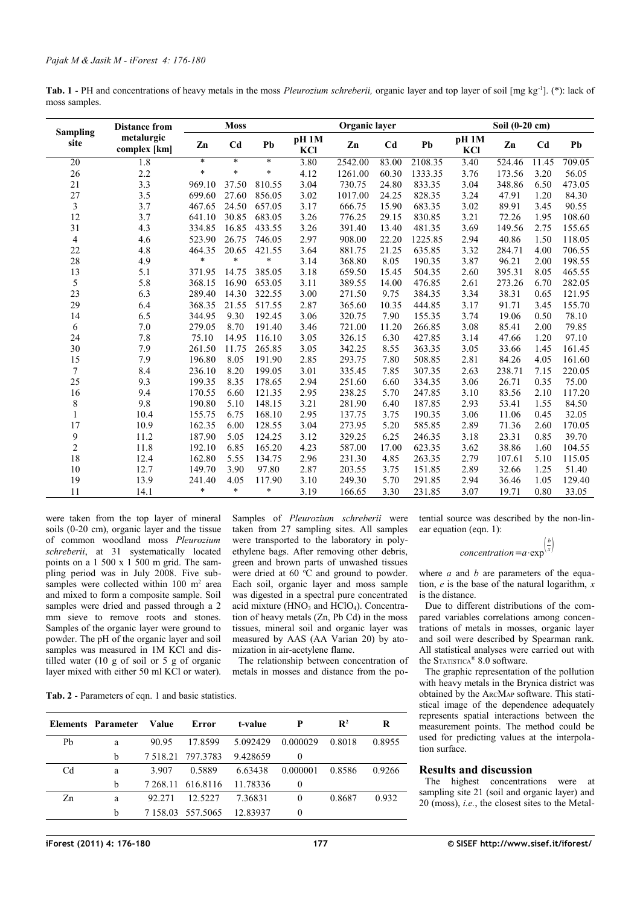<span id="page-1-1"></span>

| Tab. 1 - PH and concentrations of heavy metals in the moss <i>Pleurozium schreberii</i> , organic layer and top layer of soil [mg kg <sup>-1</sup> ]. (*): lack of |  |  |
|--------------------------------------------------------------------------------------------------------------------------------------------------------------------|--|--|
| moss samples.                                                                                                                                                      |  |  |

|                         |                            | <b>Moss</b> |                |        | Organic layer           |         |                |         | Soil (0-20 cm) |        |                |        |
|-------------------------|----------------------------|-------------|----------------|--------|-------------------------|---------|----------------|---------|----------------|--------|----------------|--------|
| <b>Sampling</b><br>site | metalurgic<br>complex [km] | Zn          | C <sub>d</sub> | Pb     | pH <sub>1M</sub><br>KCI | Zn      | C <sub>d</sub> | Pb      | pH 1M<br>KCI   | Zn     | C <sub>d</sub> | Pb     |
| 20                      | 1.8                        | $\ast$      | $\ast$         | $\ast$ | 3.80                    | 2542.00 | 83.00          | 2108.35 | 3.40           | 524.46 | 11.45          | 709.05 |
| 26                      | 2.2                        | $\ast$      | $\ast$         | $\ast$ | 4.12                    | 1261.00 | 60.30          | 1333.35 | 3.76           | 173.56 | 3.20           | 56.05  |
| 21                      | 3.3                        | 969.10      | 37.50          | 810.55 | 3.04                    | 730.75  | 24.80          | 833.35  | 3.04           | 348.86 | 6.50           | 473.05 |
| 27                      | 3.5                        | 699.60      | 27.60          | 856.05 | 3.02                    | 1017.00 | 24.25          | 828.35  | 3.24           | 47.91  | 1.20           | 84.30  |
| 3                       | 3.7                        | 467.65      | 24.50          | 657.05 | 3.17                    | 666.75  | 15.90          | 683.35  | 3.02           | 89.91  | 3.45           | 90.55  |
| 12                      | 3.7                        | 641.10      | 30.85          | 683.05 | 3.26                    | 776.25  | 29.15          | 830.85  | 3.21           | 72.26  | 1.95           | 108.60 |
| 31                      | 4.3                        | 334.85      | 16.85          | 433.55 | 3.26                    | 391.40  | 13.40          | 481.35  | 3.69           | 149.56 | 2.75           | 155.65 |
| 4                       | 4.6                        | 523.90      | 26.75          | 746.05 | 2.97                    | 908.00  | 22.20          | 1225.85 | 2.94           | 40.86  | 1.50           | 118.05 |
| 22                      | 4.8                        | 464.35      | 20.65          | 421.55 | 3.64                    | 881.75  | 21.25          | 635.85  | 3.32           | 284.71 | 4.00           | 706.55 |
| 28                      | 4.9                        | $\ast$      | $\ast$         | $\ast$ | 3.14                    | 368.80  | 8.05           | 190.35  | 3.87           | 96.21  | 2.00           | 198.55 |
| 13                      | 5.1                        | 371.95      | 14.75          | 385.05 | 3.18                    | 659.50  | 15.45          | 504.35  | 2.60           | 395.31 | 8.05           | 465.55 |
| 5                       | 5.8                        | 368.15      | 16.90          | 653.05 | 3.11                    | 389.55  | 14.00          | 476.85  | 2.61           | 273.26 | 6.70           | 282.05 |
| 23                      | 6.3                        | 289.40      | 14.30          | 322.55 | 3.00                    | 271.50  | 9.75           | 384.35  | 3.34           | 38.31  | 0.65           | 121.95 |
| 29                      | 6.4                        | 368.35      | 21.55          | 517.55 | 2.87                    | 365.60  | 10.35          | 444.85  | 3.17           | 91.71  | 3.45           | 155.70 |
| 14                      | 6.5                        | 344.95      | 9.30           | 192.45 | 3.06                    | 320.75  | 7.90           | 155.35  | 3.74           | 19.06  | 0.50           | 78.10  |
| 6                       | 7.0                        | 279.05      | 8.70           | 191.40 | 3.46                    | 721.00  | 11.20          | 266.85  | 3.08           | 85.41  | 2.00           | 79.85  |
| 24                      | 7.8                        | 75.10       | 14.95          | 116.10 | 3.05                    | 326.15  | 6.30           | 427.85  | 3.14           | 47.66  | 1.20           | 97.10  |
| 30                      | 7.9                        | 261.50      | 11.75          | 265.85 | 3.05                    | 342.25  | 8.55           | 363.35  | 3.05           | 33.66  | 1.45           | 161.45 |
| 15                      | 7.9                        | 196.80      | 8.05           | 191.90 | 2.85                    | 293.75  | 7.80           | 508.85  | 2.81           | 84.26  | 4.05           | 161.60 |
| $\overline{7}$          | 8.4                        | 236.10      | 8.20           | 199.05 | 3.01                    | 335.45  | 7.85           | 307.35  | 2.63           | 238.71 | 7.15           | 220.05 |
| 25                      | 9.3                        | 199.35      | 8.35           | 178.65 | 2.94                    | 251.60  | 6.60           | 334.35  | 3.06           | 26.71  | 0.35           | 75.00  |
| 16                      | 9.4                        | 170.55      | 6.60           | 121.35 | 2.95                    | 238.25  | 5.70           | 247.85  | 3.10           | 83.56  | 2.10           | 117.20 |
| 8                       | 9.8                        | 190.80      | 5.10           | 148.15 | 3.21                    | 281.90  | 6.40           | 187.85  | 2.93           | 53.41  | 1.55           | 84.50  |
| 1                       | 10.4                       | 155.75      | 6.75           | 168.10 | 2.95                    | 137.75  | 3.75           | 190.35  | 3.06           | 11.06  | 0.45           | 32.05  |
| 17                      | 10.9                       | 162.35      | 6.00           | 128.55 | 3.04                    | 273.95  | 5.20           | 585.85  | 2.89           | 71.36  | 2.60           | 170.05 |
| 9                       | 11.2                       | 187.90      | 5.05           | 124.25 | 3.12                    | 329.25  | 6.25           | 246.35  | 3.18           | 23.31  | 0.85           | 39.70  |
| $\overline{c}$          | 11.8                       | 192.10      | 6.85           | 165.20 | 4.23                    | 587.00  | 17.00          | 623.35  | 3.62           | 38.86  | 1.60           | 104.55 |
| 18                      | 12.4                       | 162.80      | 5.55           | 134.75 | 2.96                    | 231.30  | 4.85           | 263.35  | 2.79           | 107.61 | 5.10           | 115.05 |
| 10                      | 12.7                       | 149.70      | 3.90           | 97.80  | 2.87                    | 203.55  | 3.75           | 151.85  | 2.89           | 32.66  | 1.25           | 51.40  |
| 19                      | 13.9                       | 241.40      | 4.05           | 117.90 | 3.10                    | 249.30  | 5.70           | 291.85  | 2.94           | 36.46  | 1.05           | 129.40 |
| 11                      | 14.1                       | $\ast$      | $\ast$         | $\ast$ | 3.19                    | 166.65  | 3.30           | 231.85  | 3.07           | 19.71  | 0.80           | 33.05  |

were taken from the top layer of mineral soils (0-20 cm), organic layer and the tissue of common woodland moss *Pleurozium schreberii*, at 31 systematically located points on a 1 500 x 1 500 m grid. The sampling period was in July 2008. Five subsamples were collected within  $100 \text{ m}^2$  area and mixed to form a composite sample. Soil samples were dried and passed through a 2 mm sieve to remove roots and stones. Samples of the organic layer were ground to powder. The pH of the organic layer and soil samples was measured in 1M KCl and distilled water (10 g of soil or 5 g of organic layer mixed with either 50 ml KCl or water). Samples of *Pleurozium schreberii* were taken from 27 sampling sites. All samples were transported to the laboratory in polyethylene bags. After removing other debris, green and brown parts of unwashed tissues were dried at 60 $\degree$ C and ground to powder. Each soil, organic layer and moss sample was digested in a spectral pure concentrated acid mixture  $(HNO<sub>3</sub>)$  and  $HClO<sub>4</sub>$ ). Concentration of heavy metals (Zn, Pb Cd) in the moss tissues, mineral soil and organic layer was measured by AAS (AA Varian 20) by atomization in air-acetylene flame.

The relationship between concentration of metals in mosses and distance from the po-

<span id="page-1-0"></span>**Tab. 2** - Parameters of eqn. 1 and basic statistics.

|    | Elements Parameter | Value    | Error                     | t-value  | P        | $\mathbf{R}^2$ | R      |
|----|--------------------|----------|---------------------------|----------|----------|----------------|--------|
| Pb | a                  | 90.95    | 17.8599                   | 5.092429 | 0.000029 | 0.8018         | 0.8955 |
|    | b                  |          | 7 5 1 8 2 1 7 9 7 3 7 8 3 | 9.428659 | $\theta$ |                |        |
| Cd | a                  | 3 907    | 0.5889                    | 6.63438  | 0.000001 | 0.8586         | 0.9266 |
|    | b                  | 7 268.11 | 616.8116                  | 11.78336 | $\theta$ |                |        |
| Zn | a                  | 92.271   | 12.5227                   | 7.36831  | 0        | 0.8687         | 0.932  |
|    | b                  |          | 7 158 03 557 5065         | 12.83937 | $\theta$ |                |        |

tential source was described by the non-linear equation (eqn. 1):

# $concentration = a \cdot \exp^{\left(\frac{b}{x}\right)}$

where *a* and *b* are parameters of the equation, *e* is the base of the natural logarithm, *x* is the distance.

Due to different distributions of the compared variables correlations among concentrations of metals in mosses, organic layer and soil were described by Spearman rank. All statistical analyses were carried out with the STATISTICA® 8.0 software.

The graphic representation of the pollution with heavy metals in the Brynica district was obtained by the ARCMAP software. This statistical image of the dependence adequately represents spatial interactions between the measurement points. The method could be used for predicting values at the interpolation surface.

### **Results and discussion**

The highest concentrations were at sampling site 21 (soil and organic layer) and 20 (moss), *i.e.*, the closest sites to the Metal-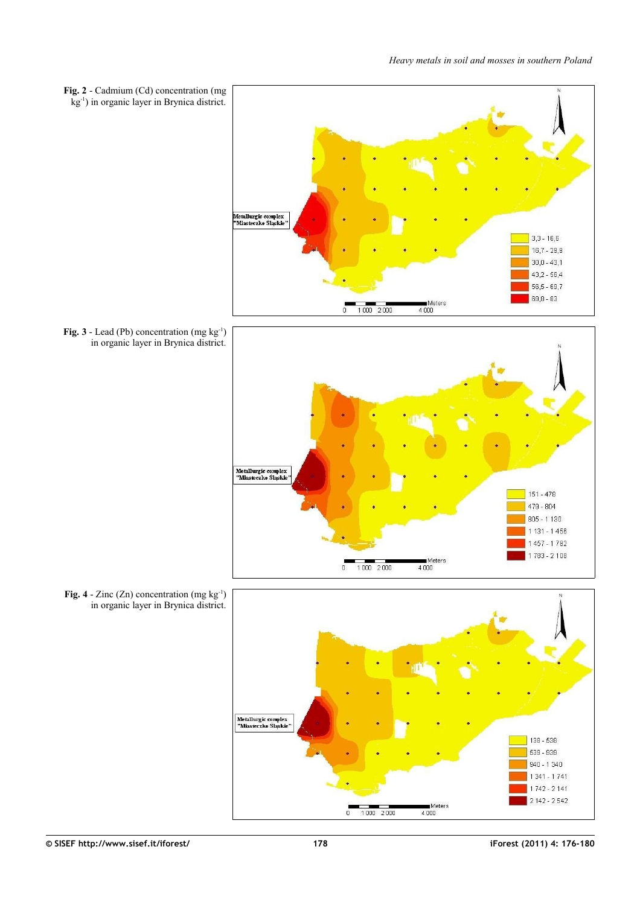<span id="page-2-2"></span><span id="page-2-1"></span><span id="page-2-0"></span>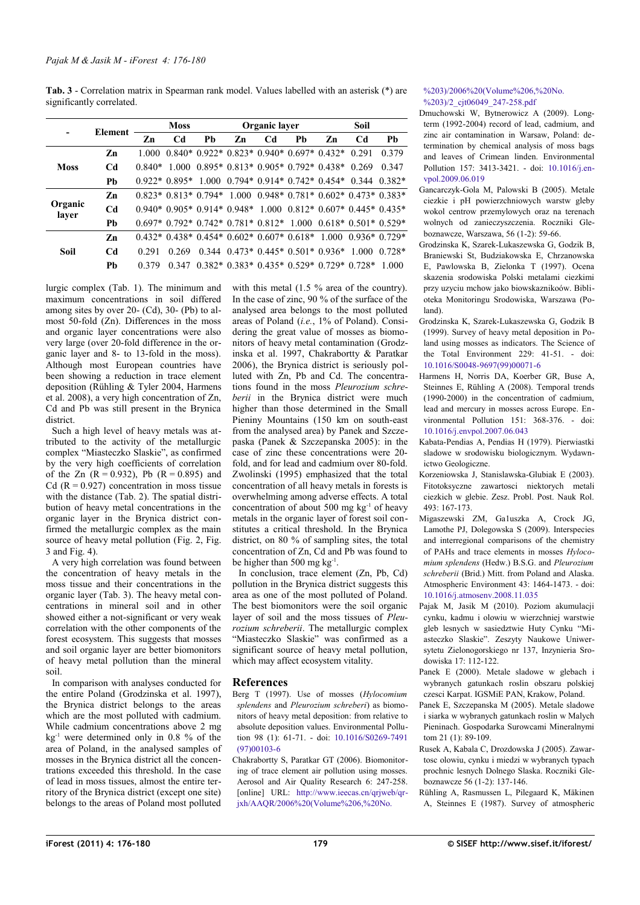<span id="page-3-0"></span>

| <b>Tab. 3</b> - Correlation matrix in Spearman rank model. Values labelled with an asterisk (*) are |  |  |  |  |
|-----------------------------------------------------------------------------------------------------|--|--|--|--|
| significantly correlated.                                                                           |  |  |  |  |

|                  |                | <b>Moss</b> |                      |    |                                                                                 | Organic layer  |    | Soil |                                            |          |
|------------------|----------------|-------------|----------------------|----|---------------------------------------------------------------------------------|----------------|----|------|--------------------------------------------|----------|
|                  | Element        | Zn          | C <sub>d</sub>       | Ph | Zn                                                                              | C <sub>d</sub> | Ph | Zn   | C <sub>d</sub>                             | Pb       |
|                  | Zn             | 1 000       |                      |    | $0.840*0.922*0.823*0.940*0.697*0.432*$                                          |                |    |      | 0.291                                      | 0.379    |
| <b>Moss</b>      | Cd             | 0.840*      | -1.000               |    | $0.895*0.813*0.905*0.792*0.438*$                                                |                |    |      | 0.269                                      | 0 3 4 7  |
|                  | Pb             |             | $0.922*0.895*$       |    | $1.000 \quad 0.794* \quad 0.914* \quad 0.742* \quad 0.454* \quad 0.344$         |                |    |      |                                            | $0.382*$ |
| Organic<br>layer | Zn             |             | $0.823*0.813*0.794*$ |    |                                                                                 |                |    |      | $1.000$ 0.948* 0.781* 0.602* 0.473* 0.383* |          |
|                  | C <sub>d</sub> |             |                      |    | $0.940*0.905*0.914*0.948*1.000$                                                 |                |    |      | $0.812*0.607*0.445*0.435*$                 |          |
|                  | Ph             |             |                      |    | $0.697*$ $0.792*$ $0.742*$ $0.781*$ $0.812*$ $1.000$ $0.618*$ $0.501*$ $0.529*$ |                |    |      |                                            |          |
| Soil             | Zn             |             |                      |    | $0.432*0.438*0.454*0.602*0.607*0.618*$                                          |                |    |      | $100000936 * 0729*$                        |          |
|                  | C <sub>d</sub> | 0.291       | 0.269                |    | $0.344$ $0.473*$ $0.445*$ $0.501*$ $0.936*$                                     |                |    |      | 1.000                                      | $0.728*$ |
|                  | Pb             | 0.379       | 0.347                |    | $0.382*0.383*0.435*0.529*0.729*0.728*$                                          |                |    |      |                                            | 1 000    |

lurgic complex [\(Tab. 1\)](#page-1-1). The minimum and maximum concentrations in soil differed among sites by over 20- (Cd), 30- (Pb) to almost 50-fold (Zn). Differences in the moss and organic layer concentrations were also very large (over 20-fold difference in the organic layer and 8- to 13-fold in the moss). Although most European countries have been showing a reduction in trace element deposition (Rühling & Tyler 2004, Harmens et al. 2008), a very high concentration of Zn, Cd and Pb was still present in the Brynica district.

Such a high level of heavy metals was attributed to the activity of the metallurgic complex "Miasteczko Slaskie", as confirmed by the very high coefficients of correlation of the Zn  $(R = 0.932)$ , Pb  $(R = 0.895)$  and Cd ( $R = 0.927$ ) concentration in moss tissue with the distance [\(Tab. 2\)](#page-1-0). The spatial distribution of heavy metal concentrations in the organic layer in the Brynica district confirmed the metallurgic complex as the main source of heavy metal pollution [\(Fig. 2,](#page-2-2) [Fig.](#page-2-1) [3](#page-2-1) and [Fig. 4\)](#page-2-0).

A very high correlation was found between the concentration of heavy metals in the moss tissue and their concentrations in the organic layer [\(Tab. 3\)](#page-3-0). The heavy metal concentrations in mineral soil and in other showed either a not-significant or very weak correlation with the other components of the forest ecosystem. This suggests that mosses and soil organic layer are better biomonitors of heavy metal pollution than the mineral soil.

In comparison with analyses conducted for the entire Poland (Grodzinska et al. 1997), the Brynica district belongs to the areas which are the most polluted with cadmium. While cadmium concentrations above 2 mg  $kg<sup>-1</sup>$  were determined only in 0.8 % of the area of Poland, in the analysed samples of mosses in the Brynica district all the concentrations exceeded this threshold. In the case of lead in moss tissues, almost the entire territory of the Brynica district (except one site) belongs to the areas of Poland most polluted with this metal (1.5 % area of the country). In the case of zinc, 90 % of the surface of the analysed area belongs to the most polluted areas of Poland (*i.e.*, 1% of Poland). Considering the great value of mosses as biomonitors of heavy metal contamination (Grodzinska et al. 1997, Chakrabortty & Paratkar 2006), the Brynica district is seriously polluted with Zn, Pb and Cd. The concentrations found in the moss *Pleurozium schreberii* in the Brynica district were much higher than those determined in the Small Pieniny Mountains (150 km on south-east from the analysed area) by Panek and Szczepaska (Panek & Szczepanska 2005): in the case of zinc these concentrations were 20 fold, and for lead and cadmium over 80-fold. Zwolinski (1995) emphasized that the total concentration of all heavy metals in forests is overwhelming among adverse effects. A total concentration of about 500 mg  $kg^{-1}$  of heavy metals in the organic layer of forest soil constitutes a critical threshold. In the Brynica district, on 80 % of sampling sites, the total concentration of Zn, Cd and Pb was found to be higher than 500 mg  $kg^{-1}$ .

In conclusion, trace element (Zn, Pb, Cd) pollution in the Brynica district suggests this area as one of the most polluted of Poland. The best biomonitors were the soil organic layer of soil and the moss tissues of *Pleurozium schreberii*. The metallurgic complex "Miasteczko Slaskie" was confirmed as a significant source of heavy metal pollution, which may affect ecosystem vitality.

### **References**

- Berg T (1997). Use of mosses (*Hylocomium splendens* and *Pleurozium schreberi*) as biomonitors of heavy metal deposition: from relative to absolute deposition values. Environmental Pollution 98 (1): 61-71. - doi: [10.1016/S0269-7491](http://dx.doi.org/10.1016/S0269-7491(97)00103-6) [\(97\)00103-6](http://dx.doi.org/10.1016/S0269-7491(97)00103-6)
- Chakrabortty S, Paratkar GT (2006). Biomonitoring of trace element air pollution using mosses. Aerosol and Air Quality Research 6: 247-258. [online] URL: [http://www.ieecas.cn/qrjweb/qr](http://www.ieecas.cn/qrjweb/qrjxh/AAQR/2006%20(Volume%206,%20No.%203)/2006%20(Volume%206,%20No.%203)/2_cjt06049_247-258.pdf)[jxh/AAQR/2006%20\(Volume%206,%20No.](http://www.ieecas.cn/qrjweb/qrjxh/AAQR/2006%20(Volume%206,%20No.%203)/2006%20(Volume%206,%20No.%203)/2_cjt06049_247-258.pdf)

#### [%203\)/2006%20\(Volume%206,%20No.](http://www.ieecas.cn/qrjweb/qrjxh/AAQR/2006%20(Volume%206,%20No.%203)/2006%20(Volume%206,%20No.%203)/2_cjt06049_247-258.pdf) [%203\)/2\\_cjt06049\\_247-258.pdf](http://www.ieecas.cn/qrjweb/qrjxh/AAQR/2006%20(Volume%206,%20No.%203)/2006%20(Volume%206,%20No.%203)/2_cjt06049_247-258.pdf)

- Dmuchowski W, Bytnerowicz A (2009). Longterm (1992-2004) record of lead, cadmium, and zinc air contamination in Warsaw, Poland: determination by chemical analysis of moss bags and leaves of Crimean linden. Environmental Pollution 157: 3413-3421. - doi: [10.1016/j.en](http://dx.doi.org/10.1016/j.envpol.2009.06.019)[vpol.2009.06.019](http://dx.doi.org/10.1016/j.envpol.2009.06.019)
- Gancarczyk-Gola M, Palowski B (2005). Metale ciezkie i pH powierzchniowych warstw gleby wokol centrow przemylowych oraz na terenach wolnych od zanieczyszczenia. Roczniki Gleboznawcze, Warszawa, 56 (1-2): 59-66.
- Grodzinska K, Szarek-Lukaszewska G, Godzik B, Braniewski St, Budziakowska E, Chrzanowska E, Pawlowska B, Zielonka T (1997). Ocena skazenia srodowiska Polski metalami ciezkimi przy uzyciu mchow jako biowskaznikoów. Biblioteka Monitoringu Srodowiska, Warszawa (Poland).
- Grodzinska K, Szarek-Lukaszewska G, Godzik B (1999). Survey of heavy metal deposition in Poland using mosses as indicators. The Science of the Total Environment 229: 41-51. - doi: [10.1016/S0048-9697\(99\)00071-6](http://dx.doi.org/10.1016/S0048-9697(99)00071-6)
- Harmens H, Norris DA, Koerber GR, Buse A, Steinnes E, Rühling A (2008). Temporal trends (1990-2000) in the concentration of cadmium, lead and mercury in mosses across Europe. Environmental Pollution 151: 368-376. - doi: [10.1016/j.envpol.2007.06.043](http://dx.doi.org/10.1016/j.envpol.2007.06.043)
- Kabata-Pendias A, Pendias H (1979). Pierwiastki sladowe w srodowisku biologicznym. Wydawnictwo Geologiczne.
- Korzeniowska J, Stanislawska-Glubiak E (2003). Fitotoksyczne zawartosci niektorych metali ciezkich w glebie. Zesz. Probl. Post. Nauk Rol. 493: 167-173.
- Migaszewski ZM, Ga1uszka A, Crock JG, Lamothe PJ, Dolegowska S (2009). Interspecies and interregional comparisons of the chemistry of PAHs and trace elements in mosses *Hylocomium splendens* (Hedw.) B.S.G. and *Pleurozium schreberii* (Brid.) Mitt. from Poland and Alaska. Atmospheric Environment 43: 1464-1473. - doi: [10.1016/j.atmosenv.2008.11.035](http://dx.doi.org/10.1016/j.atmosenv.2008.11.035)
- Pajak M, Jasik M (2010). Poziom akumulacji cynku, kadmu i olowiu w wierzchniej warstwie gleb lesnych w sasiedztwie Huty Cynku "Miasteczko Slaskie". Zeszyty Naukowe Uniwersytetu Zielonogorskiego nr 137, Inzynieria Srodowiska 17: 112-122.
- Panek E (2000). Metale sladowe w glebach i wybranych gatunkach roslin obszaru polskiej czesci Karpat. IGSMiE PAN, Krakow, Poland.
- Panek E, Szczepanska M (2005). Metale sladowe i siarka w wybranych gatunkach roslin w Malych Pieninach. Gospodarka Surowcami Mineralnymi tom 21 (1): 89-109.
- Rusek A, Kabala C, Drozdowska J (2005). Zawartosc olowiu, cynku i miedzi w wybranych typach prochnic lesnych Dolnego Slaska. Roczniki Gleboznawcze 56 (1-2): 137-146.
- Rühling A, Rasmussen L, Pilegaard K, Mäkinen A, Steinnes E (1987). Survey of atmospheric